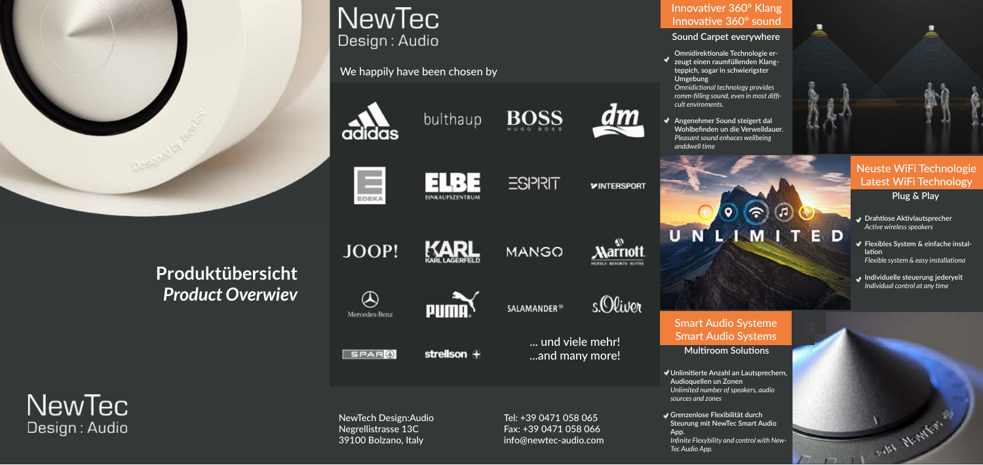

# **NewTec** Design: Audio

**Produktübersicht** *Product Overwiev*



PUMA<sup>\</sup>

strellson  $\oplus$ 

EINKAUFSZENTRUM





**SALAMANDER®** 



... und viele mehr! [...and many more!](https://www.newtec-audio.com/en/projects/)





NewTech Design:Audio Negrellistrasse 13C 39100 Bolzano, Italy

Tel: +39 0471 058 065 Fax: +39 0471 058 066 info@newtec-audio.com

We happily have been chosen by



EDEKA

JOOP!

 $\bigcirc$ 

Mercedes-Benz

SPAR<sup>O</sup>



E E



**ESPRIT** 











### [Innovativer 360° Klang](https://www.newtec-audio.com/en/technology/360-sound/) Innovative 360° sound

### **Sound Carpet everywhere**

**Omnidirektionale Technologie erzeugt einen raumfüllenden Klangteppich, sogar in schwierigster Umgebung**

*Omnidictional technology provides romm-filling sound, even in most difficult enviroments.*

**Angenehmer Sound steigert dal Wohlbefinden un die Verweildauer.** *Pleasant sound enhaces wellbeing anddwell time*

۰

UNLIMITED



## [Smart Audio Systeme](https://www.newtec-audio.com/en/technology/360-smart/) Smart Audio Systems

**Multiroom Solutions**

**Unlimitierte Anzahl an Lautsprechern, Audioquellen un Zonen** *Unlimited number of speakers, audio* 

**Grenzenlose Flexibilität durch Steurung mit NewTec Smart Audio** 

- 
- *sources and zones*
- **App.** *Tec Audio App.*



Design: Audio

*Infinite Flexybility and control with New-*



# [Neuste WiFi Technologie](https://www.newtec-audio.com/en/technology/360-smart/) Latest WiFi Technology

**Plug & Play**

- **Drahtlose Aktivlautsprecher** *Active wireless speakers*
- **Flexibles System & einfache installation** *Flexible system & easy installationa*
- **Individuelle steuerung jederyeit** *Individual control at any time*